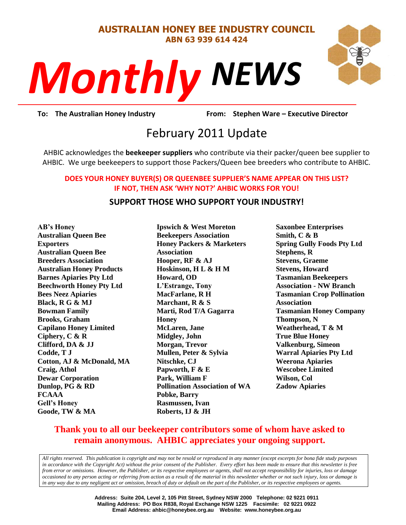#### **AUSTRALIAN HONEY BEE INDUSTRY COUNCIL ABN 63 939 614 424**

# *NEWS Monthly*



**To: The Australian Honey Industry From: Stephen Ware – Executive Director**

# **Prom:** Stephen<br>11 Unda February 2011 Update

AHBIC acknowledges the **beekeeper suppliers** who contribute via their packer/queen bee supplier to AHBIC. We urge beekeepers to support those Packers/Queen bee breeders who contribute to AHBIC.

#### **DOES YOUR HONEY BUYER(S) OR QUEENBEE SUPPLIER'S NAME APPEAR ON THIS LIST? IF NOT, THEN ASK 'WHY NOT?' AHBIC WORKS FOR YOU!**

# **SUPPORT THOSE WHO SUPPORT YOUR INDUSTRY!**

**AB's Honey Australian Queen Bee Exporters Australian Queen Bee Breeders Association Australian Honey Products Barnes Apiaries Pty Ltd Beechworth Honey Pty Ltd Bees Neez Apiaries Black, R G & MJ Bowman Family Brooks, Graham Capilano Honey Limited Ciphery, C & R Clifford, DA & JJ Codde, T J Cotton, AJ & McDonald, MA Craig, Athol Dewar Corporation Dunlop, PG & RD FCAAA Gell's Honey Goode, TW & MA**

**Ipswich & West Moreton Beekeepers Association Honey Packers & Marketers Association Hooper, RF & AJ Hoskinson, H L & H M Howard, OD L'Estrange, Tony MacFarlane, R H Marchant, R & S Marti, Rod T/A Gagarra Honey McLaren, Jane Midgley, John Morgan, Trevor Mullen, Peter & Sylvia Nitschke, CJ Papworth, F & E Park, William F Pollination Association of WA Pobke, Barry Rasmussen, Ivan Roberts, IJ & JH**

**Saxonbee Enterprises Smith, C & B Spring Gully Foods Pty Ltd Stephens, R Stevens, Graeme Stevens, Howard Tasmanian Beekeepers Association - NW Branch Tasmanian Crop Pollination Association Tasmanian Honey Company Thompson, N Weatherhead, T & M True Blue Honey Valkenburg, Simeon Warral Apiaries Pty Ltd Weerona Apiaries Wescobee Limited Wilson, Col Zadow Apiaries**

# **Thank you to all our beekeeper contributors some of whom have asked to remain anonymous. AHBIC appreciates your ongoing support.**

*All rights reserved. This publication is copyright and may not be resold or reproduced in any manner (except excerpts for bona fide study purposes in accordance with the Copyright Act) without the prior consent of the Publisher. Every effort has been made to ensure that this newsletter is free from error or omissions. However, the Publisher, or its respective employees or agents, shall not accept responsibility for injuries, loss or damage occasioned to any person acting or referring from action as a result of the material in this newsletter whether or not such injury, loss or damage is in any way due to any negligent act or omission, breach of duty or default on the part of the Publisher, or its respective employees or agents.*

> **Address: Suite 204, Level 2, 105 Pitt Street, Sydney NSW 2000 Telephone: 02 9221 0911 Mailing Address: PO Box R838, Royal Exchange NSW 1225 Facsimile: 02 9221 0922 Email Address: ahbic@honeybee.org.au Website: www.honeybee.org.au**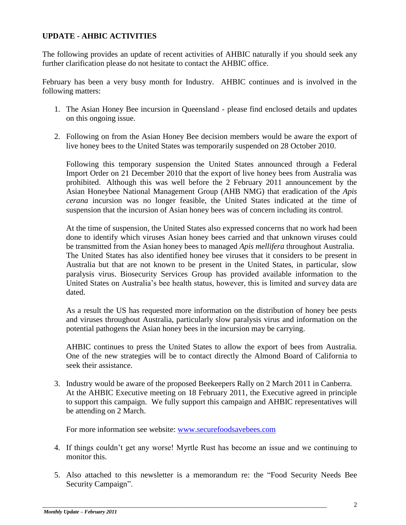# **UPDATE - AHBIC ACTIVITIES**

The following provides an update of recent activities of AHBIC naturally if you should seek any further clarification please do not hesitate to contact the AHBIC office.

February has been a very busy month for Industry. AHBIC continues and is involved in the following matters:

- 1. The Asian Honey Bee incursion in Queensland please find enclosed details and updates on this ongoing issue.
- 2. Following on from the Asian Honey Bee decision members would be aware the export of live honey bees to the United States was temporarily suspended on 28 October 2010.

Following this temporary suspension the United States announced through a Federal Import Order on 21 December 2010 that the export of live honey bees from Australia was prohibited. Although this was well before the 2 February 2011 announcement by the Asian Honeybee National Management Group (AHB NMG) that eradication of the *Apis cerana* incursion was no longer feasible, the United States indicated at the time of suspension that the incursion of Asian honey bees was of concern including its control.

At the time of suspension, the United States also expressed concerns that no work had been done to identify which viruses Asian honey bees carried and that unknown viruses could be transmitted from the Asian honey bees to managed *Apis mellifera* throughout Australia. The United States has also identified honey bee viruses that it considers to be present in Australia but that are not known to be present in the United States, in particular, slow paralysis virus. Biosecurity Services Group has provided available information to the United States on Australia"s bee health status, however, this is limited and survey data are dated.

As a result the US has requested more information on the distribution of honey bee pests and viruses throughout Australia, particularly slow paralysis virus and information on the potential pathogens the Asian honey bees in the incursion may be carrying.

AHBIC continues to press the United States to allow the export of bees from Australia. One of the new strategies will be to contact directly the Almond Board of California to seek their assistance.

3. Industry would be aware of the proposed Beekeepers Rally on 2 March 2011 in Canberra. At the AHBIC Executive meeting on 18 February 2011, the Executive agreed in principle to support this campaign. We fully support this campaign and AHBIC representatives will be attending on 2 March.

For more information see website: [www.securefoodsavebees.com](http://www.securefoodsavebees.com/)

- 4. If things couldn"t get any worse! Myrtle Rust has become an issue and we continuing to monitor this.
- 5. Also attached to this newsletter is a memorandum re: the "Food Security Needs Bee Security Campaign".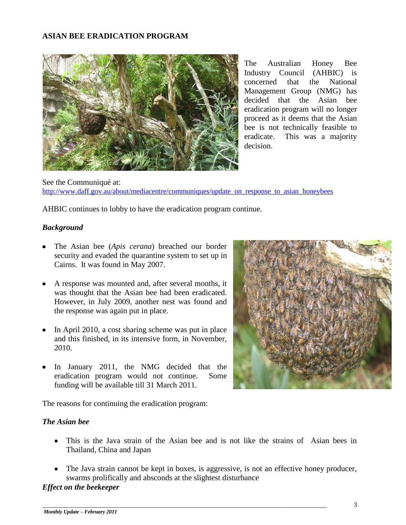#### **ASIAN BEE ERADICATION PROGRAM**



The Australian Honey Bee Industry Council (AHBIC) is concerned that the National Management Group (NMG) has decided that the Asian bee eradication program will no longer proceed as it deems that the Asian bee is not technically feasible to eradicate. This was a majority decision.

See the Communiqué at: [http://www.daff.gov.au/about/mediacentre/communiques/update\\_on\\_response\\_to\\_asian\\_honeybees](http://www.daff.gov.au/about/mediacentre/communiques/update_on_response_to_asian_honeybees)

AHBIC continues to lobby to have the eradication program continue.

#### *Background*

- The Asian bee (*Apis cerana*) breached our border security and evaded the quarantine system to set up in Cairns. It was found in May 2007.
- A response was mounted and, after several months, it was thought that the Asian bee had been eradicated. However, in July 2009, another nest was found and the response was again put in place.
- In April 2010, a cost sharing scheme was put in place and this finished, in its intensive form, in November, 2010.
- In January 2011, the NMG decided that the eradication program would not continue. Some funding will be available till 31 March 2011.

The reasons for continuing the eradication program:

#### *The Asian bee*

- This is the Java strain of the Asian bee and is not like the strains of Asian bees in Thailand, China and Japan
- The Java strain cannot be kept in boxes, is aggressive, is not an effective honey producer, swarms prolifically and absconds at the slightest disturbance

\_\_\_\_\_\_\_\_\_\_\_\_\_\_\_\_\_\_\_\_\_\_\_\_\_\_\_\_\_\_\_\_\_\_\_\_\_\_\_\_\_\_\_\_\_\_\_\_\_\_\_\_\_\_\_\_\_\_\_\_\_\_\_\_\_\_\_\_\_\_\_\_\_\_\_\_\_\_\_\_\_\_\_\_\_\_

#### *Effect on the beekeeper*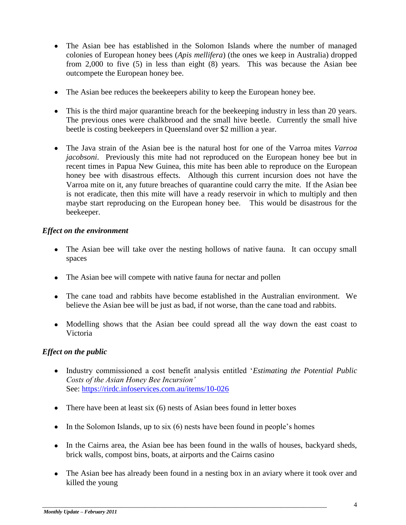- The Asian bee has established in the Solomon Islands where the number of managed colonies of European honey bees (*Apis mellifera*) (the ones we keep in Australia) dropped from 2,000 to five (5) in less than eight (8) years. This was because the Asian bee outcompete the European honey bee.
- The Asian bee reduces the beekeepers ability to keep the European honey bee.
- This is the third major quarantine breach for the beekeeping industry in less than 20 years. The previous ones were chalkbrood and the small hive beetle. Currently the small hive beetle is costing beekeepers in Queensland over \$2 million a year.
- The Java strain of the Asian bee is the natural host for one of the Varroa mites *Varroa jacobsoni*. Previously this mite had not reproduced on the European honey bee but in recent times in Papua New Guinea, this mite has been able to reproduce on the European honey bee with disastrous effects. Although this current incursion does not have the Varroa mite on it, any future breaches of quarantine could carry the mite. If the Asian bee is not eradicate, then this mite will have a ready reservoir in which to multiply and then maybe start reproducing on the European honey bee. This would be disastrous for the beekeeper.

# *Effect on the environment*

- The Asian bee will take over the nesting hollows of native fauna. It can occupy small spaces
- The Asian bee will compete with native fauna for nectar and pollen
- The cane toad and rabbits have become established in the Australian environment. We believe the Asian bee will be just as bad, if not worse, than the cane toad and rabbits.
- Modelling shows that the Asian bee could spread all the way down the east coast to Victoria

# *Effect on the public*

- Industry commissioned a cost benefit analysis entitled "*Estimating the Potential Public Costs of the Asian Honey Bee Incursion'*  See: <https://rirdc.infoservices.com.au/items/10-026>
- There have been at least six (6) nests of Asian bees found in letter boxes
- $\bullet$  In the Solomon Islands, up to six (6) nests have been found in people's homes
- In the Cairns area, the Asian bee has been found in the walls of houses, backyard sheds, brick walls, compost bins, boats, at airports and the Cairns casino
- The Asian bee has already been found in a nesting box in an aviary where it took over and killed the young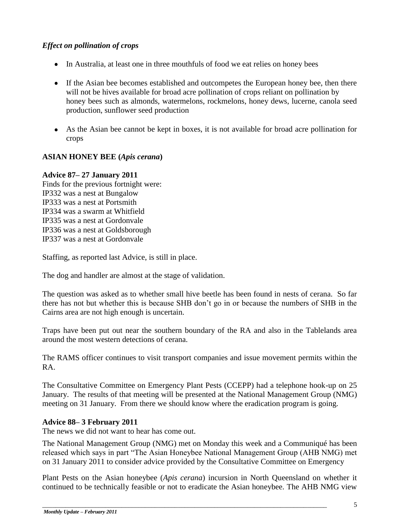# *Effect on pollination of crops*

- In Australia, at least one in three mouthfuls of food we eat relies on honey bees
- If the Asian bee becomes established and outcompetes the European honey bee, then there will not be hives available for broad acre pollination of crops reliant on pollination by honey bees such as almonds, watermelons, rockmelons, honey dews, lucerne, canola seed production, sunflower seed production
- As the Asian bee cannot be kept in boxes, it is not available for broad acre pollination for crops

# **ASIAN HONEY BEE (***Apis cerana***)**

#### **Advice 87– 27 January 2011**

Finds for the previous fortnight were: IP332 was a nest at Bungalow IP333 was a nest at Portsmith IP334 was a swarm at Whitfield IP335 was a nest at Gordonvale IP336 was a nest at Goldsborough IP337 was a nest at Gordonvale

Staffing, as reported last Advice, is still in place.

The dog and handler are almost at the stage of validation.

The question was asked as to whether small hive beetle has been found in nests of cerana. So far there has not but whether this is because SHB don"t go in or because the numbers of SHB in the Cairns area are not high enough is uncertain.

Traps have been put out near the southern boundary of the RA and also in the Tablelands area around the most western detections of cerana.

The RAMS officer continues to visit transport companies and issue movement permits within the RA.

The Consultative Committee on Emergency Plant Pests (CCEPP) had a telephone hook-up on 25 January. The results of that meeting will be presented at the National Management Group (NMG) meeting on 31 January. From there we should know where the eradication program is going.

# **Advice 88– 3 February 2011**

The news we did not want to hear has come out.

The National Management Group (NMG) met on Monday this week and a Communiqué has been released which says in part "The Asian Honeybee National Management Group (AHB NMG) met on 31 January 2011 to consider advice provided by the Consultative Committee on Emergency

Plant Pests on the Asian honeybee (*Apis cerana*) incursion in North Queensland on whether it continued to be technically feasible or not to eradicate the Asian honeybee. The AHB NMG view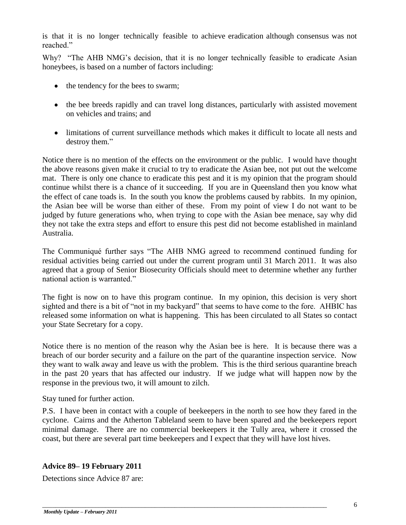is that it is no longer technically feasible to achieve eradication although consensus was not reached"

Why? "The AHB NMG's decision, that it is no longer technically feasible to eradicate Asian honeybees, is based on a number of factors including:

- the tendency for the bees to swarm;
- the bee breeds rapidly and can travel long distances, particularly with assisted movement on vehicles and trains; and
- limitations of current surveillance methods which makes it difficult to locate all nests and destroy them."

Notice there is no mention of the effects on the environment or the public. I would have thought the above reasons given make it crucial to try to eradicate the Asian bee, not put out the welcome mat. There is only one chance to eradicate this pest and it is my opinion that the program should continue whilst there is a chance of it succeeding. If you are in Queensland then you know what the effect of cane toads is. In the south you know the problems caused by rabbits. In my opinion, the Asian bee will be worse than either of these. From my point of view I do not want to be judged by future generations who, when trying to cope with the Asian bee menace, say why did they not take the extra steps and effort to ensure this pest did not become established in mainland Australia.

The Communiqué further says "The AHB NMG agreed to recommend continued funding for residual activities being carried out under the current program until 31 March 2011. It was also agreed that a group of Senior Biosecurity Officials should meet to determine whether any further national action is warranted."

The fight is now on to have this program continue. In my opinion, this decision is very short sighted and there is a bit of "not in my backyard" that seems to have come to the fore. AHBIC has released some information on what is happening. This has been circulated to all States so contact your State Secretary for a copy.

Notice there is no mention of the reason why the Asian bee is here. It is because there was a breach of our border security and a failure on the part of the quarantine inspection service. Now they want to walk away and leave us with the problem. This is the third serious quarantine breach in the past 20 years that has affected our industry. If we judge what will happen now by the response in the previous two, it will amount to zilch.

Stay tuned for further action.

P.S. I have been in contact with a couple of beekeepers in the north to see how they fared in the cyclone. Cairns and the Atherton Tableland seem to have been spared and the beekeepers report minimal damage. There are no commercial beekeepers it the Tully area, where it crossed the coast, but there are several part time beekeepers and I expect that they will have lost hives.

# **Advice 89– 19 February 2011**

Detections since Advice 87 are: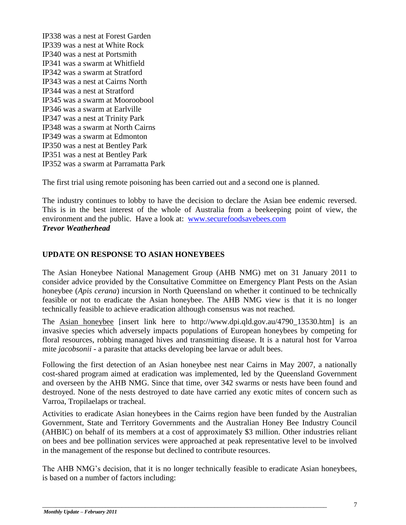IP338 was a nest at Forest Garden IP339 was a nest at White Rock IP340 was a nest at Portsmith IP341 was a swarm at Whitfield IP342 was a swarm at Stratford IP343 was a nest at Cairns North IP344 was a nest at Stratford IP345 was a swarm at Mooroobool IP346 was a swarm at Earlville IP347 was a nest at Trinity Park IP348 was a swarm at North Cairns IP349 was a swarm at Edmonton IP350 was a nest at Bentley Park IP351 was a nest at Bentley Park IP352 was a swarm at Parramatta Park

The first trial using remote poisoning has been carried out and a second one is planned.

The industry continues to lobby to have the decision to declare the Asian bee endemic reversed. This is in the best interest of the whole of Australia from a beekeeping point of view, the environment and the public. Have a look at: [www.securefoodsavebees.com](http://www.securefoodsavebees.com/) *Trevor Weatherhead*

# **UPDATE ON RESPONSE TO ASIAN HONEYBEES**

The Asian Honeybee National Management Group (AHB NMG) met on 31 January 2011 to consider advice provided by the Consultative Committee on Emergency Plant Pests on the Asian honeybee (*Apis cerana*) incursion in North Queensland on whether it continued to be technically feasible or not to eradicate the Asian honeybee. The AHB NMG view is that it is no longer technically feasible to achieve eradication although consensus was not reached.

The Asian honeybee [insert link here to http://www.dpi.qld.gov.au/4790\_13530.htm] is an invasive species which adversely impacts populations of European honeybees by competing for floral resources, robbing managed hives and transmitting disease. It is a natural host for Varroa mite *jacobsonii -* a parasite that attacks developing bee larvae or adult bees.

Following the first detection of an Asian honeybee nest near Cairns in May 2007, a nationally cost-shared program aimed at eradication was implemented, led by the Queensland Government and overseen by the AHB NMG. Since that time, over 342 swarms or nests have been found and destroyed. None of the nests destroyed to date have carried any exotic mites of concern such as Varroa, Tropilaelaps or tracheal.

Activities to eradicate Asian honeybees in the Cairns region have been funded by the Australian Government, State and Territory Governments and the Australian Honey Bee Industry Council (AHBIC) on behalf of its members at a cost of approximately \$3 million. Other industries reliant on bees and bee pollination services were approached at peak representative level to be involved in the management of the response but declined to contribute resources.

The AHB NMG"s decision, that it is no longer technically feasible to eradicate Asian honeybees, is based on a number of factors including: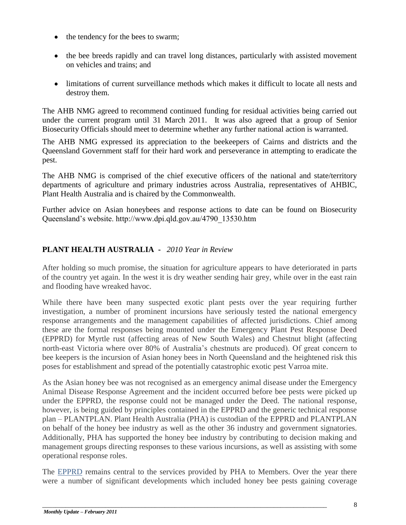- the tendency for the bees to swarm;
- the bee breeds rapidly and can travel long distances, particularly with assisted movement on vehicles and trains; and
- limitations of current surveillance methods which makes it difficult to locate all nests and destroy them.

The AHB NMG agreed to recommend continued funding for residual activities being carried out under the current program until 31 March 2011. It was also agreed that a group of Senior Biosecurity Officials should meet to determine whether any further national action is warranted.

The AHB NMG expressed its appreciation to the beekeepers of Cairns and districts and the Queensland Government staff for their hard work and perseverance in attempting to eradicate the pest.

The AHB NMG is comprised of the chief executive officers of the national and state/territory departments of agriculture and primary industries across Australia, representatives of AHBIC, Plant Health Australia and is chaired by the Commonwealth.

Further advice on Asian honeybees and response actions to date can be found on Biosecurity Queensland"s website. http://www.dpi.qld.gov.au/4790\_13530.htm

# **PLANT HEALTH AUSTRALIA -** *2010 Year in Review*

After holding so much promise, the situation for agriculture appears to have deteriorated in parts of the country yet again. In the west it is dry weather sending hair grey, while over in the east rain and flooding have wreaked havoc.

While there have been many suspected exotic plant pests over the year requiring further investigation, a number of prominent incursions have seriously tested the national emergency response arrangements and the management capabilities of affected jurisdictions. Chief among these are the formal responses being mounted under the Emergency Plant Pest Response Deed (EPPRD) for Myrtle rust (affecting areas of New South Wales) and Chestnut blight (affecting north-east Victoria where over 80% of Australia's chestnuts are produced). Of great concern to bee keepers is the incursion of Asian honey bees in North Queensland and the heightened risk this poses for establishment and spread of the potentially catastrophic exotic pest Varroa mite.

As the Asian honey bee was not recognised as an emergency animal disease under the Emergency Animal Disease Response Agreement and the incident occurred before bee pests were picked up under the EPPRD, the response could not be managed under the Deed. The national response, however, is being guided by principles contained in the EPPRD and the generic technical response plan – PLANTPLAN. Plant Health Australia (PHA) is custodian of the EPPRD and PLANTPLAN on behalf of the honey bee industry as well as the other 36 industry and government signatories. Additionally, PHA has supported the honey bee industry by contributing to decision making and management groups directing responses to these various incursions, as well as assisting with some operational response roles.

The [EPPRD](http://planthealthaustralia.createsend4.com/t/r/l/pjdykd/eidtihlh/c) remains central to the services provided by PHA to Members. Over the year there were a number of significant developments which included honey bee pests gaining coverage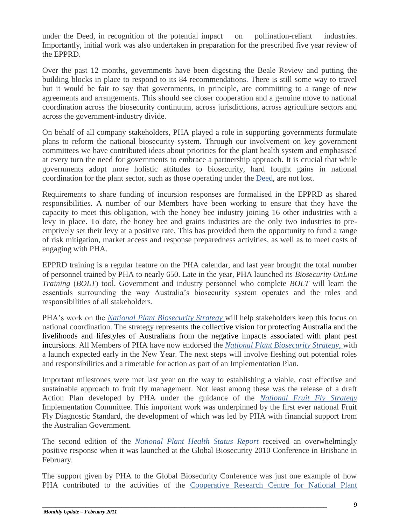under the Deed, in recognition of the potential impact on pollination-reliant industries. Importantly, initial work was also undertaken in preparation for the prescribed five year review of the EPPRD.

Over the past 12 months, governments have been digesting the Beale Review and putting the building blocks in place to respond to its 84 recommendations. There is still some way to travel but it would be fair to say that governments, in principle, are committing to a range of new agreements and arrangements. This should see closer cooperation and a genuine move to national coordination across the biosecurity continuum, across jurisdictions, across agriculture sectors and across the government-industry divide.

On behalf of all company stakeholders, PHA played a role in supporting governments formulate plans to reform the national biosecurity system. Through our involvement on key government committees we have contributed ideas about priorities for the plant health system and emphasised at every turn the need for governments to embrace a partnership approach. It is crucial that while governments adopt more holistic attitudes to biosecurity, hard fought gains in national coordination for the plant sector, such as those operating under the [Deed,](http://planthealthaustralia.createsend4.com/t/r/l/pjdykd/eidtihlh/k) are not lost.

Requirements to share funding of incursion responses are formalised in the EPPRD as shared responsibilities. A number of our Members have been working to ensure that they have the capacity to meet this obligation, with the honey bee industry joining 16 other industries with a levy in place. To date, the honey bee and grains industries are the only two industries to preemptively set their levy at a positive rate. This has provided them the opportunity to fund a range of risk mitigation, market access and response preparedness activities, as well as to meet costs of engaging with PHA.

EPPRD training is a regular feature on the PHA calendar, and last year brought the total number of personnel trained by PHA to nearly 650. Late in the year, PHA launched its *Biosecurity OnLine Training* (*BOLT*) tool. Government and industry personnel who complete *BOLT* will learn the essentials surrounding the way Australia"s biosecurity system operates and the roles and responsibilities of all stakeholders.

PHA"s work on the *[National Plant Biosecurity Strategy](http://planthealthaustralia.createsend4.com/t/r/l/pjdykd/eidtihlh/u)* will help stakeholders keep this focus on national coordination. The strategy represents the collective vision for protecting Australia and the livelihoods and lifestyles of Australians from the negative impacts associated with plant pest incursions. All Members of PHA have now endorsed the *National Plant Biosecurity Strategy,* with a launch expected early in the New Year. The next steps will involve fleshing out potential roles and responsibilities and a timetable for action as part of an Implementation Plan.

Important milestones were met last year on the way to establishing a viable, cost effective and sustainable approach to fruit fly management. Not least among these was the release of a draft Action Plan developed by PHA under the guidance of the *[National Fruit Fly Strategy](http://planthealthaustralia.createsend4.com/t/r/l/pjdykd/eidtihlh/b)* Implementation Committee. This important work was underpinned by the first ever national Fruit Fly Diagnostic Standard, the development of which was led by PHA with financial support from the Australian Government.

The second edition of the *[National Plant Health Status Report](http://planthealthaustralia.createsend4.com/t/r/l/pjdykd/eidtihlh/n)* received an overwhelmingly positive response when it was launched at the Global Biosecurity 2010 Conference in Brisbane in February.

The support given by PHA to the Global Biosecurity Conference was just one example of how PHA contributed to the activities of the Cooperative Research Centre for National Plant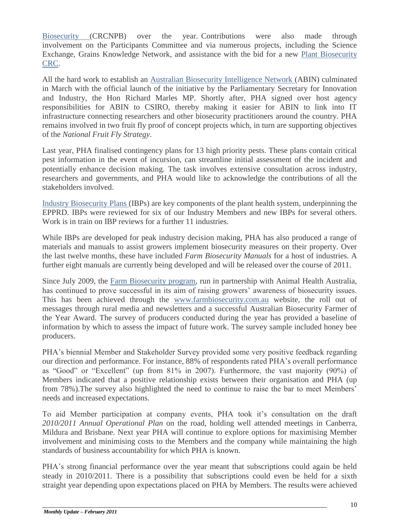Biosecurity (CRCNPB) over the year. Contributions were also made through involvement on the Participants Committee and via numerous projects, including the Science Exchange, Grains Knowledge Network, and assistance with the bid for a new [Plant Biosecurity](http://planthealthaustralia.createsend4.com/t/r/l/pjdykd/eidtihlh/m)  [CRC.](http://planthealthaustralia.createsend4.com/t/r/l/pjdykd/eidtihlh/m)

All the hard work to establish an [Australian Biosecurity Intelligence Network \(](http://planthealthaustralia.createsend4.com/t/r/l/pjdykd/eidtihlh/p)ABIN) culminated in March with the official launch of the initiative by the Parliamentary Secretary for Innovation and Industry, the Hon Richard Marles MP. Shortly after, PHA signed over host agency responsibilities for ABIN to CSIRO, thereby making it easier for ABIN to link into IT infrastructure connecting researchers and other biosecurity practitioners around the country. PHA remains involved in two fruit fly proof of concept projects which, in turn are supporting objectives of the *National Fruit Fly Strategy*.

Last year, PHA finalised contingency plans for 13 high priority pests. These plans contain critical pest information in the event of incursion, can streamline initial assessment of the incident and potentially enhance decision making. The task involves extensive consultation across industry, researchers and governments, and PHA would like to acknowledge the contributions of all the stakeholders involved.

[Industry Biosecurity Plans \(](http://planthealthaustralia.createsend4.com/t/r/l/pjdykd/eidtihlh/a)IBPs) are key components of the plant health system, underpinning the EPPRD. IBPs were reviewed for six of our Industry Members and new IBPs for several others. Work is in train on IBP reviews for a further 11 industries.

While IBPs are developed for peak industry decision making, PHA has also produced a range of materials and manuals to assist growers implement biosecurity measures on their property. Over the last twelve months, these have included *Farm Biosecurity Manuals* for a host of industries. A further eight manuals are currently being developed and will be released over the course of 2011.

Since July 2009, the [Farm Biosecurity program,](http://planthealthaustralia.createsend4.com/t/r/l/pjdykd/eidtihlh/s) run in partnership with Animal Health Australia, has continued to prove successful in its aim of raising growers' awareness of biosecurity issues. This has been achieved through the [www.farmbiosecurity.com.au](http://planthealthaustralia.createsend4.com/t/r/l/pjdykd/eidtihlh/g) website, the roll out of messages through rural media and newsletters and a successful Australian Biosecurity Farmer of the Year Award. The survey of producers conducted during the year has provided a baseline of information by which to assess the impact of future work. The survey sample included honey bee producers.

PHA"s biennial Member and Stakeholder Survey provided some very positive feedback regarding our direction and performance. For instance, 88% of respondents rated PHA"s overall performance as "Good" or "Excellent" (up from 81% in 2007). Furthermore, the vast majority (90%) of Members indicated that a positive relationship exists between their organisation and PHA (up from 78%).The survey also highlighted the need to continue to raise the bar to meet Members" needs and increased expectations.

To aid Member participation at company events, PHA took it"s consultation on the draft *2010/2011 Annual Operational Plan* on the road, holding well attended meetings in Canberra, Mildura and Brisbane. Next year PHA will continue to explore options for maximising Member involvement and minimising costs to the Members and the company while maintaining the high standards of business accountability for which PHA is known.

PHA"s strong financial performance over the year meant that subscriptions could again be held steady in 2010/2011. There is a possibility that subscriptions could even be held for a sixth straight year depending upon expectations placed on PHA by Members. The results were achieved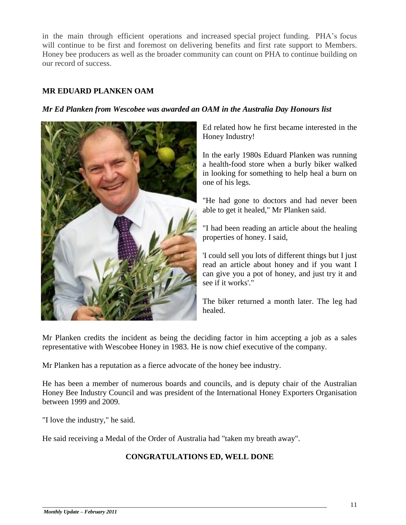in the main through efficient operations and increased special project funding. PHA"s focus will continue to be first and foremost on delivering benefits and first rate support to Members. Honey bee producers as well as the broader community can count on PHA to continue building on our record of success.

# **MR EDUARD PLANKEN OAM**

#### *Mr Ed Planken from Wescobee was awarded an OAM in the Australia Day Honours list*



Ed related how he first became interested in the Honey Industry!

In the early 1980s Eduard Planken was running a health-food store when a burly biker walked in looking for something to help heal a burn on one of his legs.

"He had gone to doctors and had never been able to get it healed," Mr Planken said.

"I had been reading an article about the healing properties of honey. I said,

'I could sell you lots of different things but I just read an article about honey and if you want I can give you a pot of honey, and just try it and see if it works'."

The biker returned a month later. The leg had healed.

Mr Planken credits the incident as being the deciding factor in him accepting a job as a sales representative with Wescobee Honey in 1983. He is now chief executive of the company.

Mr Planken has a reputation as a fierce advocate of the honey bee industry.

He has been a member of numerous boards and councils, and is deputy chair of the Australian Honey Bee Industry Council and was president of the International Honey Exporters Organisation between 1999 and 2009.

"I love the industry," he said.

He said receiving a Medal of the Order of Australia had "taken my breath away".

#### **CONGRATULATIONS ED, WELL DONE**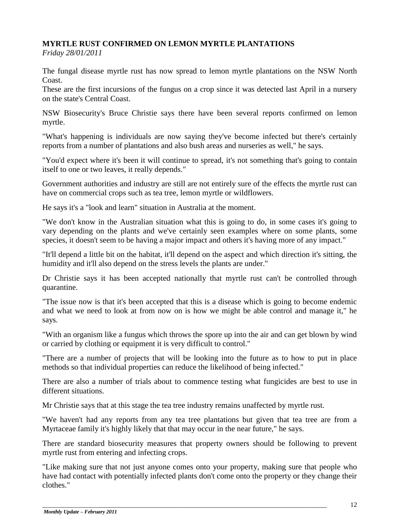# **MYRTLE RUST CONFIRMED ON LEMON MYRTLE PLANTATIONS**

*Friday 28/01/2011*

The fungal disease myrtle rust has now spread to lemon myrtle plantations on the NSW North Coast.

These are the first incursions of the fungus on a crop since it was detected last April in a nursery on the state's Central Coast.

NSW Biosecurity's Bruce Christie says there have been several reports confirmed on lemon myrtle.

"What's happening is individuals are now saying they've become infected but there's certainly reports from a number of plantations and also bush areas and nurseries as well," he says.

"You'd expect where it's been it will continue to spread, it's not something that's going to contain itself to one or two leaves, it really depends."

Government authorities and industry are still are not entirely sure of the effects the myrtle rust can have on commercial crops such as tea tree, lemon myrtle or wildflowers.

He says it's a "look and learn" situation in Australia at the moment.

"We don't know in the Australian situation what this is going to do, in some cases it's going to vary depending on the plants and we've certainly seen examples where on some plants, some species, it doesn't seem to be having a major impact and others it's having more of any impact."

"It'll depend a little bit on the habitat, it'll depend on the aspect and which direction it's sitting, the humidity and it'll also depend on the stress levels the plants are under."

Dr Christie says it has been accepted nationally that myrtle rust can't be controlled through quarantine.

"The issue now is that it's been accepted that this is a disease which is going to become endemic and what we need to look at from now on is how we might be able control and manage it," he says.

"With an organism like a fungus which throws the spore up into the air and can get blown by wind or carried by clothing or equipment it is very difficult to control."

"There are a number of projects that will be looking into the future as to how to put in place methods so that individual properties can reduce the likelihood of being infected."

There are also a number of trials about to commence testing what fungicides are best to use in different situations.

Mr Christie says that at this stage the tea tree industry remains unaffected by myrtle rust.

"We haven't had any reports from any tea tree plantations but given that tea tree are from a Myrtaceae family it's highly likely that that may occur in the near future," he says.

There are standard biosecurity measures that property owners should be following to prevent myrtle rust from entering and infecting crops.

"Like making sure that not just anyone comes onto your property, making sure that people who have had contact with potentially infected plants don't come onto the property or they change their clothes."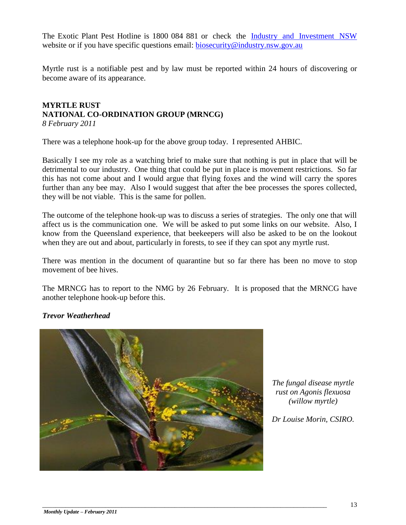The Exotic Plant Pest Hotline is 1800 084 881 or check the [Industry and Investment NSW](http://www.dpi.nsw.gov.au/biosecurity/plant/myrtle-rust) website or if you have specific questions email: [biosecurity@industry.nsw.gov.au](mailto:biosecurity@industry.nsw.gov.au)

Myrtle rust is a notifiable pest and by law must be reported within 24 hours of discovering or become aware of its appearance.

#### **MYRTLE RUST NATIONAL CO-ORDINATION GROUP (MRNCG)** *8 February 2011*

There was a telephone hook-up for the above group today. I represented AHBIC.

Basically I see my role as a watching brief to make sure that nothing is put in place that will be detrimental to our industry. One thing that could be put in place is movement restrictions. So far this has not come about and I would argue that flying foxes and the wind will carry the spores further than any bee may. Also I would suggest that after the bee processes the spores collected, they will be not viable. This is the same for pollen.

The outcome of the telephone hook-up was to discuss a series of strategies. The only one that will affect us is the communication one. We will be asked to put some links on our website. Also, I know from the Queensland experience, that beekeepers will also be asked to be on the lookout when they are out and about, particularly in forests, to see if they can spot any myrtle rust.

There was mention in the document of quarantine but so far there has been no move to stop movement of bee hives.

The MRNCG has to report to the NMG by 26 February. It is proposed that the MRNCG have another telephone hook-up before this.

# *Trevor Weatherhead*



\_\_\_\_\_\_\_\_\_\_\_\_\_\_\_\_\_\_\_\_\_\_\_\_\_\_\_\_\_\_\_\_\_\_\_\_\_\_\_\_\_\_\_\_\_\_\_\_\_\_\_\_\_\_\_\_\_\_\_\_\_\_\_\_\_\_\_\_\_\_\_\_\_\_\_\_\_\_\_\_\_\_\_\_\_\_

*The fungal disease myrtle rust on Agonis flexuosa (willow myrtle)*

*Dr Louise Morin, CSIRO.*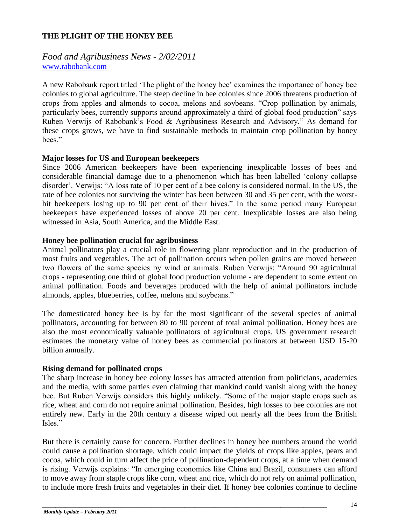#### **THE PLIGHT OF THE HONEY BEE**

# *Food and Agribusiness News - 2/02/2011* [www.rabobank.com](http://www.rabobank.com/)

A new Rabobank report titled "The plight of the honey bee" examines the importance of honey bee colonies to global agriculture. The steep decline in bee colonies since 2006 threatens production of crops from apples and almonds to cocoa, melons and soybeans. "Crop pollination by animals, particularly bees, currently supports around approximately a third of global food production" says Ruben Verwijs of Rabobank"s Food & Agribusiness Research and Advisory." As demand for these crops grows, we have to find sustainable methods to maintain crop pollination by honey hees"

#### **Major losses for US and European beekeepers**

Since 2006 American beekeepers have been experiencing inexplicable losses of bees and considerable financial damage due to a phenomenon which has been labelled "colony collapse disorder". Verwijs: "A loss rate of 10 per cent of a bee colony is considered normal. In the US, the rate of bee colonies not surviving the winter has been between 30 and 35 per cent, with the worsthit beekeepers losing up to 90 per cent of their hives." In the same period many European beekeepers have experienced losses of above 20 per cent. Inexplicable losses are also being witnessed in Asia, South America, and the Middle East.

#### **Honey bee pollination crucial for agribusiness**

Animal pollinators play a crucial role in flowering plant reproduction and in the production of most fruits and vegetables. The act of pollination occurs when pollen grains are moved between two flowers of the same species by wind or animals. Ruben Verwijs: "Around 90 agricultural crops - representing one third of global food production volume - are dependent to some extent on animal pollination. Foods and beverages produced with the help of animal pollinators include almonds, apples, blueberries, coffee, melons and soybeans."

The domesticated honey bee is by far the most significant of the several species of animal pollinators, accounting for between 80 to 90 percent of total animal pollination. Honey bees are also the most economically valuable pollinators of agricultural crops. US government research estimates the monetary value of honey bees as commercial pollinators at between USD 15-20 billion annually.

#### **Rising demand for pollinated crops**

The sharp increase in honey bee colony losses has attracted attention from politicians, academics and the media, with some parties even claiming that mankind could vanish along with the honey bee. But Ruben Verwijs considers this highly unlikely. "Some of the major staple crops such as rice, wheat and corn do not require animal pollination. Besides, high losses to bee colonies are not entirely new. Early in the 20th century a disease wiped out nearly all the bees from the British Isles."

But there is certainly cause for concern. Further declines in honey bee numbers around the world could cause a pollination shortage, which could impact the yields of crops like apples, pears and cocoa, which could in turn affect the price of pollination-dependent crops, at a time when demand is rising. Verwijs explains: "In emerging economies like China and Brazil, consumers can afford to move away from staple crops like corn, wheat and rice, which do not rely on animal pollination, to include more fresh fruits and vegetables in their diet. If honey bee colonies continue to decline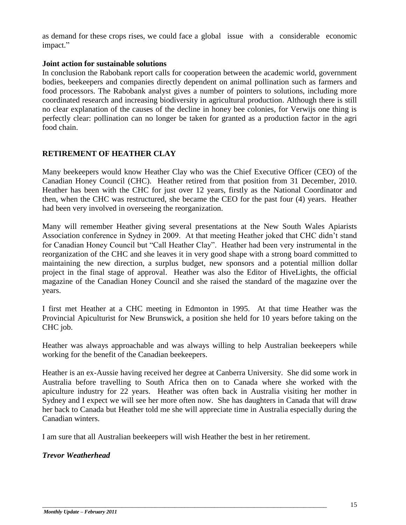as demand for these crops rises, we could face a global issue with a considerable economic impact."

#### **Joint action for sustainable solutions**

In conclusion the Rabobank report calls for cooperation between the academic world, government bodies, beekeepers and companies directly dependent on animal pollination such as farmers and food processors. The Rabobank analyst gives a number of pointers to solutions, including more coordinated research and increasing biodiversity in agricultural production. Although there is still no clear explanation of the causes of the decline in honey bee colonies, for Verwijs one thing is perfectly clear: pollination can no longer be taken for granted as a production factor in the agri food chain.

# **RETIREMENT OF HEATHER CLAY**

Many beekeepers would know Heather Clay who was the Chief Executive Officer (CEO) of the Canadian Honey Council (CHC). Heather retired from that position from 31 December, 2010. Heather has been with the CHC for just over 12 years, firstly as the National Coordinator and then, when the CHC was restructured, she became the CEO for the past four (4) years. Heather had been very involved in overseeing the reorganization.

Many will remember Heather giving several presentations at the New South Wales Apiarists Association conference in Sydney in 2009. At that meeting Heather joked that CHC didn"t stand for Canadian Honey Council but "Call Heather Clay". Heather had been very instrumental in the reorganization of the CHC and she leaves it in very good shape with a strong board committed to maintaining the new direction, a surplus budget, new sponsors and a potential million dollar project in the final stage of approval. Heather was also the Editor of HiveLights, the official magazine of the Canadian Honey Council and she raised the standard of the magazine over the years.

I first met Heather at a CHC meeting in Edmonton in 1995. At that time Heather was the Provincial Apiculturist for New Brunswick, a position she held for 10 years before taking on the CHC job.

Heather was always approachable and was always willing to help Australian beekeepers while working for the benefit of the Canadian beekeepers.

Heather is an ex-Aussie having received her degree at Canberra University. She did some work in Australia before travelling to South Africa then on to Canada where she worked with the apiculture industry for 22 years. Heather was often back in Australia visiting her mother in Sydney and I expect we will see her more often now. She has daughters in Canada that will draw her back to Canada but Heather told me she will appreciate time in Australia especially during the Canadian winters.

I am sure that all Australian beekeepers will wish Heather the best in her retirement.

#### *Trevor Weatherhead*